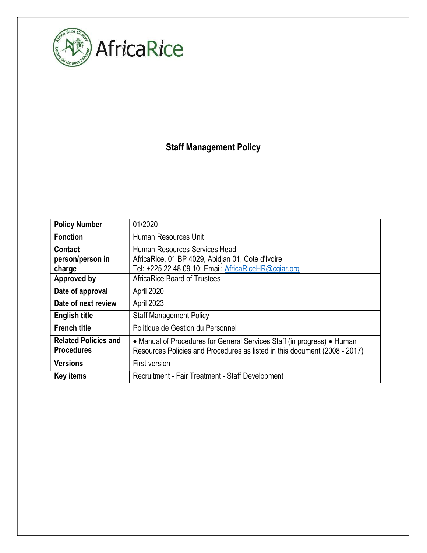

# Staff Management Policy

| <b>Policy Number</b>                             | 01/2020                                                                                                                                               |
|--------------------------------------------------|-------------------------------------------------------------------------------------------------------------------------------------------------------|
| <b>Fonction</b>                                  | Human Resources Unit                                                                                                                                  |
| <b>Contact</b><br>person/person in<br>charge     | Human Resources Services Head<br>AfricaRice, 01 BP 4029, Abidjan 01, Cote d'Ivoire<br>Tel: +225 22 48 09 10; Email: AfricaRiceHR@cgiar.org            |
| Approved by                                      | <b>AfricaRice Board of Trustees</b>                                                                                                                   |
| Date of approval                                 | April 2020                                                                                                                                            |
| Date of next review                              | April 2023                                                                                                                                            |
| <b>English title</b>                             | <b>Staff Management Policy</b>                                                                                                                        |
| <b>French title</b>                              | Politique de Gestion du Personnel                                                                                                                     |
| <b>Related Policies and</b><br><b>Procedures</b> | • Manual of Procedures for General Services Staff (in progress) • Human<br>Resources Policies and Procedures as listed in this document (2008 - 2017) |
| <b>Versions</b>                                  | First version                                                                                                                                         |
| <b>Key items</b>                                 | Recruitment - Fair Treatment - Staff Development                                                                                                      |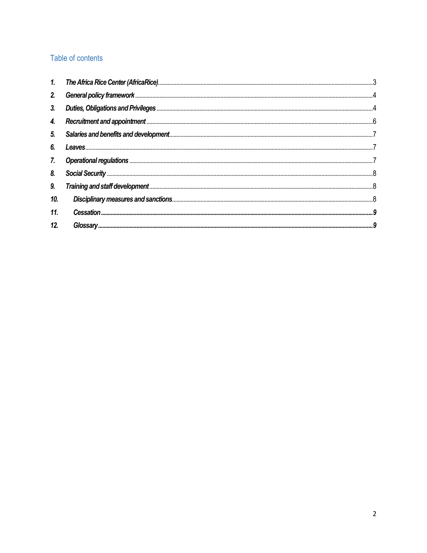# Table of contents

| 1.             |  |
|----------------|--|
| 2.             |  |
| 3 <sub>1</sub> |  |
| 4.             |  |
| 5.             |  |
| 6.             |  |
| 7.             |  |
| 8.             |  |
| 9.             |  |
| 10.            |  |
| 11.            |  |
| 12.            |  |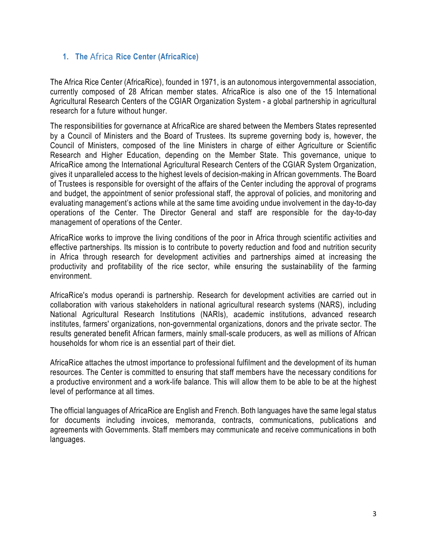## 1. The Africa Rice Center (AfricaRice)

The Africa Rice Center (AfricaRice), founded in 1971, is an autonomous intergovernmental association, currently composed of 28 African member states. AfricaRice is also one of the 15 International Agricultural Research Centers of the CGIAR Organization System - a global partnership in agricultural research for a future without hunger.

The responsibilities for governance at AfricaRice are shared between the Members States represented by a Council of Ministers and the Board of Trustees. Its supreme governing body is, however, the Council of Ministers, composed of the line Ministers in charge of either Agriculture or Scientific Research and Higher Education, depending on the Member State. This governance, unique to AfricaRice among the International Agricultural Research Centers of the CGIAR System Organization, gives it unparalleled access to the highest levels of decision-making in African governments. The Board of Trustees is responsible for oversight of the affairs of the Center including the approval of programs and budget, the appointment of senior professional staff, the approval of policies, and monitoring and evaluating management's actions while at the same time avoiding undue involvement in the day-to-day operations of the Center. The Director General and staff are responsible for the day-to-day management of operations of the Center.

AfricaRice works to improve the living conditions of the poor in Africa through scientific activities and effective partnerships. Its mission is to contribute to poverty reduction and food and nutrition security in Africa through research for development activities and partnerships aimed at increasing the productivity and profitability of the rice sector, while ensuring the sustainability of the farming environment.

AfricaRice's modus operandi is partnership. Research for development activities are carried out in collaboration with various stakeholders in national agricultural research systems (NARS), including National Agricultural Research Institutions (NARIs), academic institutions, advanced research institutes, farmers' organizations, non-governmental organizations, donors and the private sector. The results generated benefit African farmers, mainly small-scale producers, as well as millions of African households for whom rice is an essential part of their diet.

AfricaRice attaches the utmost importance to professional fulfilment and the development of its human resources. The Center is committed to ensuring that staff members have the necessary conditions for a productive environment and a work-life balance. This will allow them to be able to be at the highest level of performance at all times.

The official languages of AfricaRice are English and French. Both languages have the same legal status for documents including invoices, memoranda, contracts, communications, publications and agreements with Governments. Staff members may communicate and receive communications in both languages.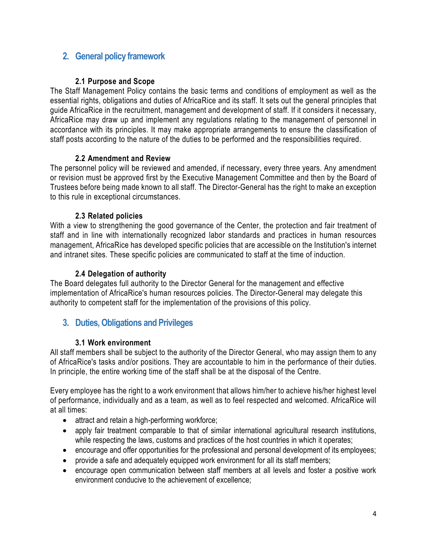# 2. General policy framework

#### 2.1 Purpose and Scope

The Staff Management Policy contains the basic terms and conditions of employment as well as the essential rights, obligations and duties of AfricaRice and its staff. It sets out the general principles that guide AfricaRice in the recruitment, management and development of staff. If it considers it necessary, AfricaRice may draw up and implement any regulations relating to the management of personnel in accordance with its principles. It may make appropriate arrangements to ensure the classification of staff posts according to the nature of the duties to be performed and the responsibilities required.

#### 2.2 Amendment and Review

The personnel policy will be reviewed and amended, if necessary, every three years. Any amendment or revision must be approved first by the Executive Management Committee and then by the Board of Trustees before being made known to all staff. The Director-General has the right to make an exception to this rule in exceptional circumstances.

## 2.3 Related policies

With a view to strengthening the good governance of the Center, the protection and fair treatment of staff and in line with internationally recognized labor standards and practices in human resources management, AfricaRice has developed specific policies that are accessible on the Institution's internet and intranet sites. These specific policies are communicated to staff at the time of induction.

## 2.4 Delegation of authority

The Board delegates full authority to the Director General for the management and effective implementation of AfricaRice's human resources policies. The Director-General may delegate this authority to competent staff for the implementation of the provisions of this policy.

# 3. Duties, Obligations and Privileges

## 3.1 Work environment

All staff members shall be subject to the authority of the Director General, who may assign them to any of AfricaRice's tasks and/or positions. They are accountable to him in the performance of their duties. In principle, the entire working time of the staff shall be at the disposal of the Centre.

Every employee has the right to a work environment that allows him/her to achieve his/her highest level of performance, individually and as a team, as well as to feel respected and welcomed. AfricaRice will at all times:

- attract and retain a high-performing workforce;
- apply fair treatment comparable to that of similar international agricultural research institutions, while respecting the laws, customs and practices of the host countries in which it operates;
- encourage and offer opportunities for the professional and personal development of its employees;
- provide a safe and adequately equipped work environment for all its staff members;
- encourage open communication between staff members at all levels and foster a positive work environment conducive to the achievement of excellence;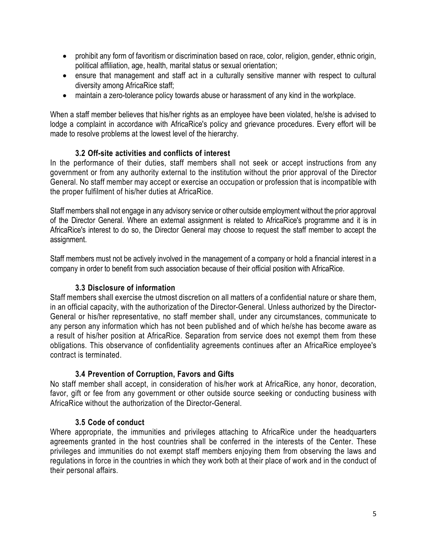- prohibit any form of favoritism or discrimination based on race, color, religion, gender, ethnic origin, political affiliation, age, health, marital status or sexual orientation;
- ensure that management and staff act in a culturally sensitive manner with respect to cultural diversity among AfricaRice staff;
- maintain a zero-tolerance policy towards abuse or harassment of any kind in the workplace.

When a staff member believes that his/her rights as an employee have been violated, he/she is advised to lodge a complaint in accordance with AfricaRice's policy and grievance procedures. Every effort will be made to resolve problems at the lowest level of the hierarchy.

## 3.2 Off-site activities and conflicts of interest

In the performance of their duties, staff members shall not seek or accept instructions from any government or from any authority external to the institution without the prior approval of the Director General. No staff member may accept or exercise an occupation or profession that is incompatible with the proper fulfilment of his/her duties at AfricaRice.

Staff members shall not engage in any advisory service or other outside employment without the prior approval of the Director General. Where an external assignment is related to AfricaRice's programme and it is in AfricaRice's interest to do so, the Director General may choose to request the staff member to accept the assignment.

Staff members must not be actively involved in the management of a company or hold a financial interest in a company in order to benefit from such association because of their official position with AfricaRice.

#### 3.3 Disclosure of information

Staff members shall exercise the utmost discretion on all matters of a confidential nature or share them, in an official capacity, with the authorization of the Director-General. Unless authorized by the Director-General or his/her representative, no staff member shall, under any circumstances, communicate to any person any information which has not been published and of which he/she has become aware as a result of his/her position at AfricaRice. Separation from service does not exempt them from these obligations. This observance of confidentiality agreements continues after an AfricaRice employee's contract is terminated.

## 3.4 Prevention of Corruption, Favors and Gifts

No staff member shall accept, in consideration of his/her work at AfricaRice, any honor, decoration, favor, gift or fee from any government or other outside source seeking or conducting business with AfricaRice without the authorization of the Director-General.

#### 3.5 Code of conduct

Where appropriate, the immunities and privileges attaching to AfricaRice under the headquarters agreements granted in the host countries shall be conferred in the interests of the Center. These privileges and immunities do not exempt staff members enjoying them from observing the laws and regulations in force in the countries in which they work both at their place of work and in the conduct of their personal affairs.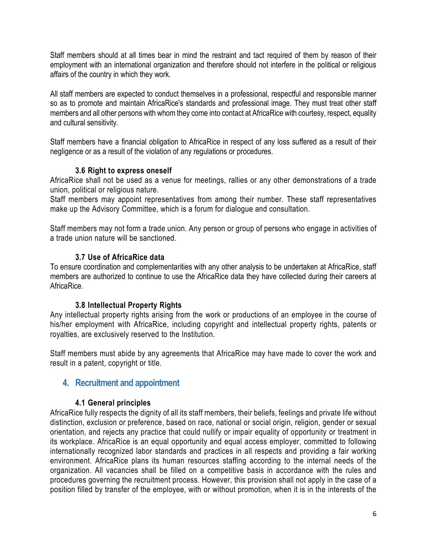Staff members should at all times bear in mind the restraint and tact required of them by reason of their employment with an international organization and therefore should not interfere in the political or religious affairs of the country in which they work.

All staff members are expected to conduct themselves in a professional, respectful and responsible manner so as to promote and maintain AfricaRice's standards and professional image. They must treat other staff members and all other persons with whom they come into contact at AfricaRice with courtesy, respect, equality and cultural sensitivity.

Staff members have a financial obligation to AfricaRice in respect of any loss suffered as a result of their negligence or as a result of the violation of any regulations or procedures.

#### 3.6 Right to express oneself

AfricaRice shall not be used as a venue for meetings, rallies or any other demonstrations of a trade union, political or religious nature.

Staff members may appoint representatives from among their number. These staff representatives make up the Advisory Committee, which is a forum for dialogue and consultation.

Staff members may not form a trade union. Any person or group of persons who engage in activities of a trade union nature will be sanctioned.

#### 3.7 Use of AfricaRice data

To ensure coordination and complementarities with any other analysis to be undertaken at AfricaRice, staff members are authorized to continue to use the AfricaRice data they have collected during their careers at AfricaRice.

## 3.8 Intellectual Property Rights

Any intellectual property rights arising from the work or productions of an employee in the course of his/her employment with AfricaRice, including copyright and intellectual property rights, patents or royalties, are exclusively reserved to the Institution.

Staff members must abide by any agreements that AfricaRice may have made to cover the work and result in a patent, copyright or title.

# 4. Recruitment and appointment

#### 4.1 General principles

AfricaRice fully respects the dignity of all its staff members, their beliefs, feelings and private life without distinction, exclusion or preference, based on race, national or social origin, religion, gender or sexual orientation, and rejects any practice that could nullify or impair equality of opportunity or treatment in its workplace. AfricaRice is an equal opportunity and equal access employer, committed to following internationally recognized labor standards and practices in all respects and providing a fair working environment. AfricaRice plans its human resources staffing according to the internal needs of the organization. All vacancies shall be filled on a competitive basis in accordance with the rules and procedures governing the recruitment process. However, this provision shall not apply in the case of a position filled by transfer of the employee, with or without promotion, when it is in the interests of the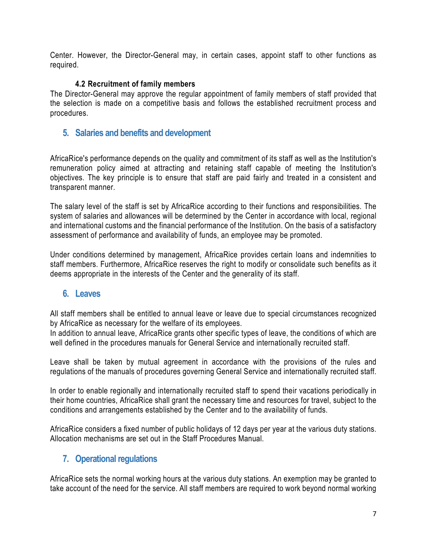Center. However, the Director-General may, in certain cases, appoint staff to other functions as required.

#### 4.2 Recruitment of family members

The Director-General may approve the regular appointment of family members of staff provided that the selection is made on a competitive basis and follows the established recruitment process and procedures.

# 5. Salaries and benefits and development

AfricaRice's performance depends on the quality and commitment of its staff as well as the Institution's remuneration policy aimed at attracting and retaining staff capable of meeting the Institution's objectives. The key principle is to ensure that staff are paid fairly and treated in a consistent and transparent manner.

The salary level of the staff is set by AfricaRice according to their functions and responsibilities. The system of salaries and allowances will be determined by the Center in accordance with local, regional and international customs and the financial performance of the Institution. On the basis of a satisfactory assessment of performance and availability of funds, an employee may be promoted.

Under conditions determined by management, AfricaRice provides certain loans and indemnities to staff members. Furthermore, AfricaRice reserves the right to modify or consolidate such benefits as it deems appropriate in the interests of the Center and the generality of its staff.

## 6. Leaves

All staff members shall be entitled to annual leave or leave due to special circumstances recognized by AfricaRice as necessary for the welfare of its employees.

In addition to annual leave, AfricaRice grants other specific types of leave, the conditions of which are well defined in the procedures manuals for General Service and internationally recruited staff.

Leave shall be taken by mutual agreement in accordance with the provisions of the rules and regulations of the manuals of procedures governing General Service and internationally recruited staff.

In order to enable regionally and internationally recruited staff to spend their vacations periodically in their home countries, AfricaRice shall grant the necessary time and resources for travel, subject to the conditions and arrangements established by the Center and to the availability of funds.

AfricaRice considers a fixed number of public holidays of 12 days per year at the various duty stations. Allocation mechanisms are set out in the Staff Procedures Manual.

# 7. Operational regulations

AfricaRice sets the normal working hours at the various duty stations. An exemption may be granted to take account of the need for the service. All staff members are required to work beyond normal working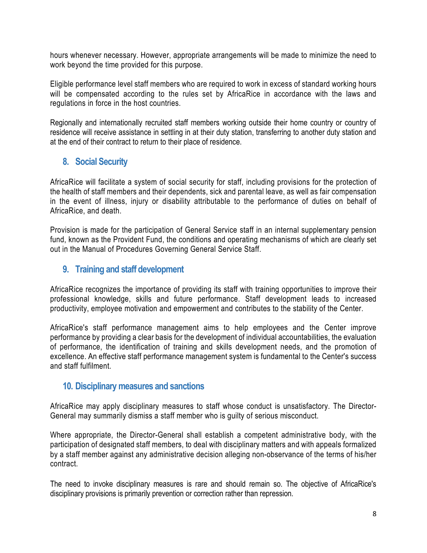hours whenever necessary. However, appropriate arrangements will be made to minimize the need to work beyond the time provided for this purpose.

Eligible performance level staff members who are required to work in excess of standard working hours will be compensated according to the rules set by AfricaRice in accordance with the laws and regulations in force in the host countries.

Regionally and internationally recruited staff members working outside their home country or country of residence will receive assistance in settling in at their duty station, transferring to another duty station and at the end of their contract to return to their place of residence.

# 8. Social Security

AfricaRice will facilitate a system of social security for staff, including provisions for the protection of the health of staff members and their dependents, sick and parental leave, as well as fair compensation in the event of illness, injury or disability attributable to the performance of duties on behalf of AfricaRice, and death.

Provision is made for the participation of General Service staff in an internal supplementary pension fund, known as the Provident Fund, the conditions and operating mechanisms of which are clearly set out in the Manual of Procedures Governing General Service Staff.

## 9. Training and staff development

AfricaRice recognizes the importance of providing its staff with training opportunities to improve their professional knowledge, skills and future performance. Staff development leads to increased productivity, employee motivation and empowerment and contributes to the stability of the Center.

AfricaRice's staff performance management aims to help employees and the Center improve performance by providing a clear basis for the development of individual accountabilities, the evaluation of performance, the identification of training and skills development needs, and the promotion of excellence. An effective staff performance management system is fundamental to the Center's success and staff fulfilment.

## 10. Disciplinary measures and sanctions

AfricaRice may apply disciplinary measures to staff whose conduct is unsatisfactory. The Director-General may summarily dismiss a staff member who is guilty of serious misconduct.

Where appropriate, the Director-General shall establish a competent administrative body, with the participation of designated staff members, to deal with disciplinary matters and with appeals formalized by a staff member against any administrative decision alleging non-observance of the terms of his/her contract.

The need to invoke disciplinary measures is rare and should remain so. The objective of AfricaRice's disciplinary provisions is primarily prevention or correction rather than repression.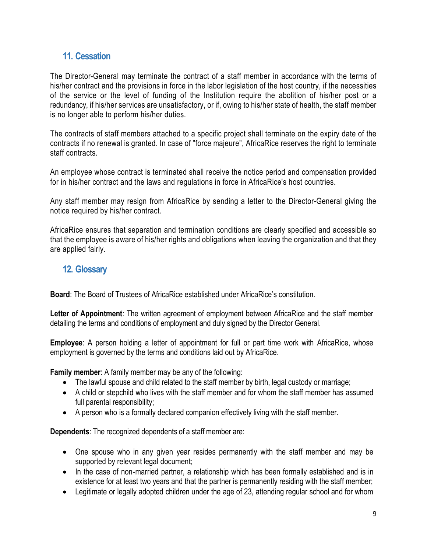# 11. Cessation

The Director-General may terminate the contract of a staff member in accordance with the terms of his/her contract and the provisions in force in the labor legislation of the host country, if the necessities of the service or the level of funding of the Institution require the abolition of his/her post or a redundancy, if his/her services are unsatisfactory, or if, owing to his/her state of health, the staff member is no longer able to perform his/her duties.

The contracts of staff members attached to a specific project shall terminate on the expiry date of the contracts if no renewal is granted. In case of "force majeure", AfricaRice reserves the right to terminate staff contracts.

An employee whose contract is terminated shall receive the notice period and compensation provided for in his/her contract and the laws and regulations in force in AfricaRice's host countries.

Any staff member may resign from AfricaRice by sending a letter to the Director-General giving the notice required by his/her contract.

AfricaRice ensures that separation and termination conditions are clearly specified and accessible so that the employee is aware of his/her rights and obligations when leaving the organization and that they are applied fairly.

## 12. Glossary

Board: The Board of Trustees of AfricaRice established under AfricaRice's constitution.

Letter of Appointment: The written agreement of employment between AfricaRice and the staff member detailing the terms and conditions of employment and duly signed by the Director General.

Employee: A person holding a letter of appointment for full or part time work with AfricaRice, whose employment is governed by the terms and conditions laid out by AfricaRice.

Family member: A family member may be any of the following:

- The lawful spouse and child related to the staff member by birth, legal custody or marriage;
- A child or stepchild who lives with the staff member and for whom the staff member has assumed full parental responsibility;
- A person who is a formally declared companion effectively living with the staff member.

Dependents: The recognized dependents of a staff member are:

- One spouse who in any given year resides permanently with the staff member and may be supported by relevant legal document;
- In the case of non-married partner, a relationship which has been formally established and is in existence for at least two years and that the partner is permanently residing with the staff member;
- Legitimate or legally adopted children under the age of 23, attending regular school and for whom